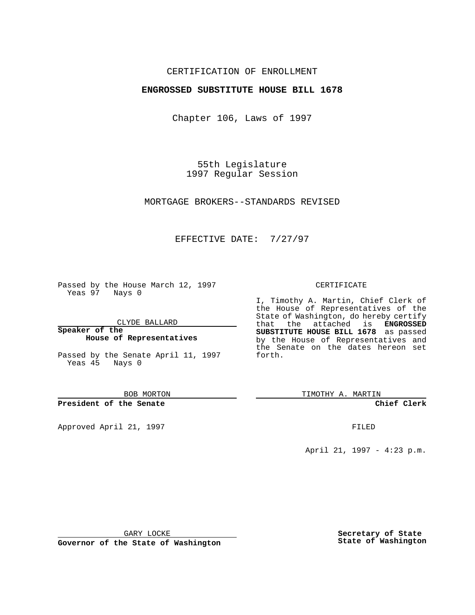## CERTIFICATION OF ENROLLMENT

## **ENGROSSED SUBSTITUTE HOUSE BILL 1678**

Chapter 106, Laws of 1997

55th Legislature 1997 Regular Session

MORTGAGE BROKERS--STANDARDS REVISED

## EFFECTIVE DATE: 7/27/97

Passed by the House March 12, 1997 Yeas 97 Nays 0

CLYDE BALLARD

**Speaker of the House of Representatives**

Passed by the Senate April 11, 1997 Yeas 45 Nays 0

BOB MORTON

**President of the Senate**

Approved April 21, 1997 **FILED** 

#### CERTIFICATE

I, Timothy A. Martin, Chief Clerk of the House of Representatives of the State of Washington, do hereby certify that the attached is **ENGROSSED SUBSTITUTE HOUSE BILL 1678** as passed by the House of Representatives and the Senate on the dates hereon set forth.

TIMOTHY A. MARTIN

**Chief Clerk**

April 21, 1997 - 4:23 p.m.

GARY LOCKE

**Governor of the State of Washington**

**Secretary of State State of Washington**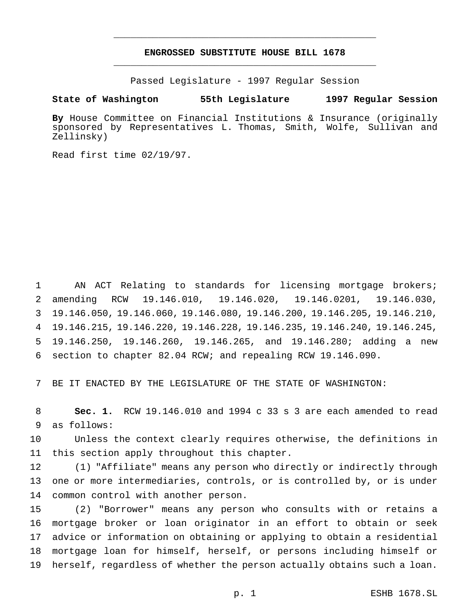# **ENGROSSED SUBSTITUTE HOUSE BILL 1678** \_\_\_\_\_\_\_\_\_\_\_\_\_\_\_\_\_\_\_\_\_\_\_\_\_\_\_\_\_\_\_\_\_\_\_\_\_\_\_\_\_\_\_\_\_\_\_

\_\_\_\_\_\_\_\_\_\_\_\_\_\_\_\_\_\_\_\_\_\_\_\_\_\_\_\_\_\_\_\_\_\_\_\_\_\_\_\_\_\_\_\_\_\_\_

Passed Legislature - 1997 Regular Session

#### **State of Washington 55th Legislature 1997 Regular Session**

**By** House Committee on Financial Institutions & Insurance (originally sponsored by Representatives L. Thomas, Smith, Wolfe, Sullivan and Zellinsky)

Read first time 02/19/97.

 AN ACT Relating to standards for licensing mortgage brokers; amending RCW 19.146.010, 19.146.020, 19.146.0201, 19.146.030, 19.146.050, 19.146.060, 19.146.080, 19.146.200, 19.146.205, 19.146.210, 19.146.215, 19.146.220, 19.146.228, 19.146.235, 19.146.240, 19.146.245, 19.146.250, 19.146.260, 19.146.265, and 19.146.280; adding a new section to chapter 82.04 RCW; and repealing RCW 19.146.090.

BE IT ENACTED BY THE LEGISLATURE OF THE STATE OF WASHINGTON:

 **Sec. 1.** RCW 19.146.010 and 1994 c 33 s 3 are each amended to read as follows:

 Unless the context clearly requires otherwise, the definitions in this section apply throughout this chapter.

 (1) "Affiliate" means any person who directly or indirectly through one or more intermediaries, controls, or is controlled by, or is under common control with another person.

 (2) "Borrower" means any person who consults with or retains a mortgage broker or loan originator in an effort to obtain or seek advice or information on obtaining or applying to obtain a residential mortgage loan for himself, herself, or persons including himself or herself, regardless of whether the person actually obtains such a loan.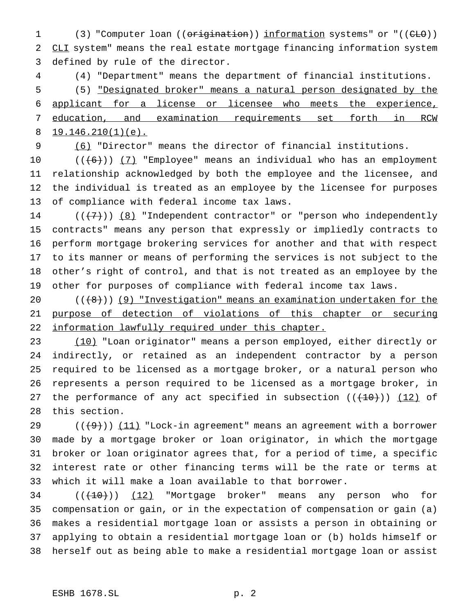1 (3) "Computer loan ((origination)) information systems" or "((CLO)) 2 CLI system" means the real estate mortgage financing information system defined by rule of the director.

 (4) "Department" means the department of financial institutions. (5) "Designated broker" means a natural person designated by the applicant for a license or licensee who meets the experience, education, and examination requirements set forth in RCW 8 19.146.210(1)(e).

(6) "Director" means the director of financial institutions.

 $((+6))$   $(7)$  "Employee" means an individual who has an employment relationship acknowledged by both the employee and the licensee, and the individual is treated as an employee by the licensee for purposes of compliance with federal income tax laws.

 $((+7))$   $(8)$  "Independent contractor" or "person who independently contracts" means any person that expressly or impliedly contracts to perform mortgage brokering services for another and that with respect to its manner or means of performing the services is not subject to the other's right of control, and that is not treated as an employee by the other for purposes of compliance with federal income tax laws.

 $((\{8\}))(9)$  "Investigation" means an examination undertaken for the purpose of detection of violations of this chapter or securing 22 information lawfully required under this chapter.

 (10) "Loan originator" means a person employed, either directly or indirectly, or retained as an independent contractor by a person required to be licensed as a mortgage broker, or a natural person who represents a person required to be licensed as a mortgage broker, in 27 the performance of any act specified in subsection  $((+10))$   $(12)$  of this section.

 $((+9))$   $(11)$  "Lock-in agreement" means an agreement with a borrower made by a mortgage broker or loan originator, in which the mortgage broker or loan originator agrees that, for a period of time, a specific interest rate or other financing terms will be the rate or terms at which it will make a loan available to that borrower.

34 (( $(10)$ )) (12) "Mortgage broker" means any person who for compensation or gain, or in the expectation of compensation or gain (a) makes a residential mortgage loan or assists a person in obtaining or applying to obtain a residential mortgage loan or (b) holds himself or herself out as being able to make a residential mortgage loan or assist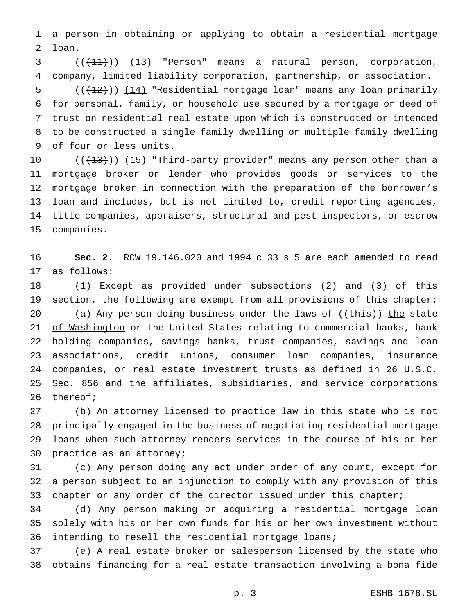a person in obtaining or applying to obtain a residential mortgage loan.

  $((+11))$   $(13)$  "Person" means a natural person, corporation, company, limited liability corporation, partnership, or association.

5 (( $(12)$ )) (14) "Residential mortgage loan" means any loan primarily for personal, family, or household use secured by a mortgage or deed of trust on residential real estate upon which is constructed or intended to be constructed a single family dwelling or multiple family dwelling of four or less units.

 $((+13))$   $(15)$  "Third-party provider" means any person other than a mortgage broker or lender who provides goods or services to the mortgage broker in connection with the preparation of the borrower's loan and includes, but is not limited to, credit reporting agencies, title companies, appraisers, structural and pest inspectors, or escrow companies.

 **Sec. 2.** RCW 19.146.020 and 1994 c 33 s 5 are each amended to read as follows:

 (1) Except as provided under subsections (2) and (3) of this section, the following are exempt from all provisions of this chapter: 20 (a) Any person doing business under the laws of  $((\overline{\text{this}}))$  the state 21 of Washington or the United States relating to commercial banks, bank holding companies, savings banks, trust companies, savings and loan associations, credit unions, consumer loan companies, insurance companies, or real estate investment trusts as defined in 26 U.S.C. Sec. 856 and the affiliates, subsidiaries, and service corporations thereof;

 (b) An attorney licensed to practice law in this state who is not principally engaged in the business of negotiating residential mortgage loans when such attorney renders services in the course of his or her practice as an attorney;

 (c) Any person doing any act under order of any court, except for a person subject to an injunction to comply with any provision of this 33 chapter or any order of the director issued under this chapter;

 (d) Any person making or acquiring a residential mortgage loan solely with his or her own funds for his or her own investment without intending to resell the residential mortgage loans;

 (e) A real estate broker or salesperson licensed by the state who obtains financing for a real estate transaction involving a bona fide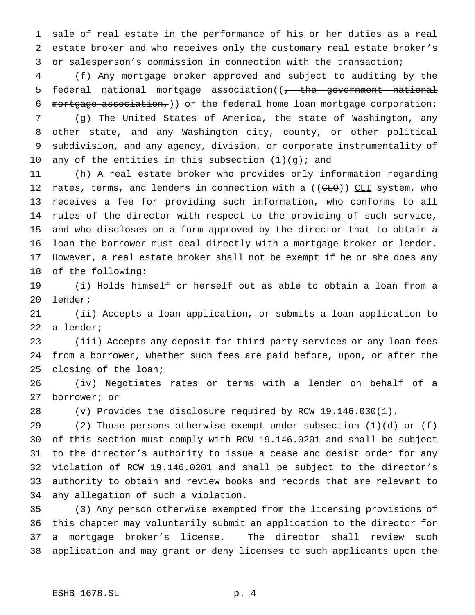sale of real estate in the performance of his or her duties as a real estate broker and who receives only the customary real estate broker's or salesperson's commission in connection with the transaction;

 (f) Any mortgage broker approved and subject to auditing by the 5 federal national mortgage association((<del>, the government national</del> mortgage association,)) or the federal home loan mortgage corporation;

 (g) The United States of America, the state of Washington, any other state, and any Washington city, county, or other political subdivision, and any agency, division, or corporate instrumentality of 10 any of the entities in this subsection  $(1)(g)$ ; and

 (h) A real estate broker who provides only information regarding 12 rates, terms, and lenders in connection with a ((CLO)) CLI system, who receives a fee for providing such information, who conforms to all rules of the director with respect to the providing of such service, and who discloses on a form approved by the director that to obtain a loan the borrower must deal directly with a mortgage broker or lender. However, a real estate broker shall not be exempt if he or she does any of the following:

 (i) Holds himself or herself out as able to obtain a loan from a lender;

 (ii) Accepts a loan application, or submits a loan application to a lender;

 (iii) Accepts any deposit for third-party services or any loan fees from a borrower, whether such fees are paid before, upon, or after the closing of the loan;

 (iv) Negotiates rates or terms with a lender on behalf of a borrower; or

(v) Provides the disclosure required by RCW 19.146.030(1).

 (2) Those persons otherwise exempt under subsection (1)(d) or (f) of this section must comply with RCW 19.146.0201 and shall be subject to the director's authority to issue a cease and desist order for any violation of RCW 19.146.0201 and shall be subject to the director's authority to obtain and review books and records that are relevant to any allegation of such a violation.

 (3) Any person otherwise exempted from the licensing provisions of this chapter may voluntarily submit an application to the director for a mortgage broker's license. The director shall review such application and may grant or deny licenses to such applicants upon the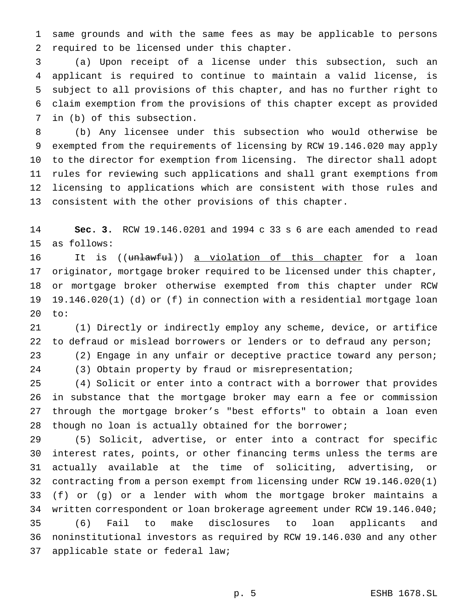same grounds and with the same fees as may be applicable to persons required to be licensed under this chapter.

 (a) Upon receipt of a license under this subsection, such an applicant is required to continue to maintain a valid license, is subject to all provisions of this chapter, and has no further right to claim exemption from the provisions of this chapter except as provided in (b) of this subsection.

 (b) Any licensee under this subsection who would otherwise be exempted from the requirements of licensing by RCW 19.146.020 may apply to the director for exemption from licensing. The director shall adopt rules for reviewing such applications and shall grant exemptions from licensing to applications which are consistent with those rules and consistent with the other provisions of this chapter.

 **Sec. 3.** RCW 19.146.0201 and 1994 c 33 s 6 are each amended to read as follows:

16 It is ((unlawful)) a violation of this chapter for a loan originator, mortgage broker required to be licensed under this chapter, or mortgage broker otherwise exempted from this chapter under RCW 19.146.020(1) (d) or (f) in connection with a residential mortgage loan to:

 (1) Directly or indirectly employ any scheme, device, or artifice to defraud or mislead borrowers or lenders or to defraud any person; (2) Engage in any unfair or deceptive practice toward any person;

(3) Obtain property by fraud or misrepresentation;

 (4) Solicit or enter into a contract with a borrower that provides in substance that the mortgage broker may earn a fee or commission through the mortgage broker's "best efforts" to obtain a loan even though no loan is actually obtained for the borrower;

 (5) Solicit, advertise, or enter into a contract for specific interest rates, points, or other financing terms unless the terms are actually available at the time of soliciting, advertising, or contracting from a person exempt from licensing under RCW 19.146.020(1) (f) or (g) or a lender with whom the mortgage broker maintains a written correspondent or loan brokerage agreement under RCW 19.146.040; (6) Fail to make disclosures to loan applicants and noninstitutional investors as required by RCW 19.146.030 and any other applicable state or federal law;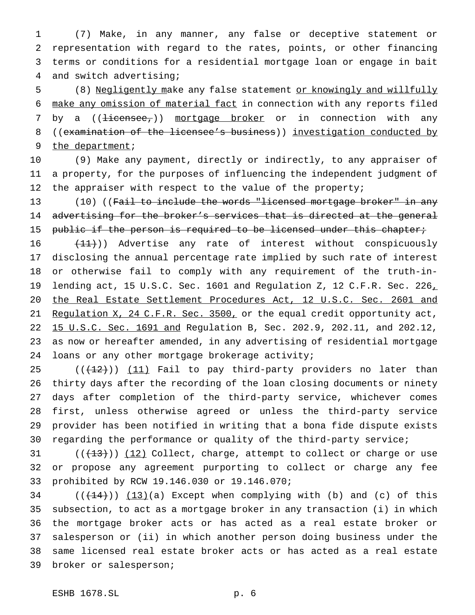(7) Make, in any manner, any false or deceptive statement or representation with regard to the rates, points, or other financing terms or conditions for a residential mortgage loan or engage in bait and switch advertising;

 (8) Negligently make any false statement or knowingly and willfully make any omission of material fact in connection with any reports filed 7 by a ((<del>licensee,</del>)) mortgage broker or in connection with any 8 ((examination of the licensee's business)) investigation conducted by 9 the department;

 (9) Make any payment, directly or indirectly, to any appraiser of a property, for the purposes of influencing the independent judgment of 12 the appraiser with respect to the value of the property;

13 (10) ((Fail to include the words "licensed mortgage broker" in any advertising for the broker's services that is directed at the general 15 public if the person is required to be licensed under this chapter;

16 (11)) Advertise any rate of interest without conspicuously disclosing the annual percentage rate implied by such rate of interest or otherwise fail to comply with any requirement of the truth-in-19 lending act, 15 U.S.C. Sec. 1601 and Regulation Z, 12 C.F.R. Sec. 226, 20 the Real Estate Settlement Procedures Act, 12 U.S.C. Sec. 2601 and 21 Regulation X, 24 C.F.R. Sec. 3500, or the equal credit opportunity act, 15 U.S.C. Sec. 1691 and Regulation B, Sec. 202.9, 202.11, and 202.12, as now or hereafter amended, in any advertising of residential mortgage loans or any other mortgage brokerage activity;

 $((+12))$   $(11)$  Fail to pay third-party providers no later than thirty days after the recording of the loan closing documents or ninety days after completion of the third-party service, whichever comes first, unless otherwise agreed or unless the third-party service provider has been notified in writing that a bona fide dispute exists regarding the performance or quality of the third-party service;

 (( $(13)$ )) (12) Collect, charge, attempt to collect or charge or use or propose any agreement purporting to collect or charge any fee prohibited by RCW 19.146.030 or 19.146.070;

 ( $(\frac{14}{14})$ )  $(13)(a)$  Except when complying with (b) and (c) of this subsection, to act as a mortgage broker in any transaction (i) in which the mortgage broker acts or has acted as a real estate broker or salesperson or (ii) in which another person doing business under the same licensed real estate broker acts or has acted as a real estate broker or salesperson;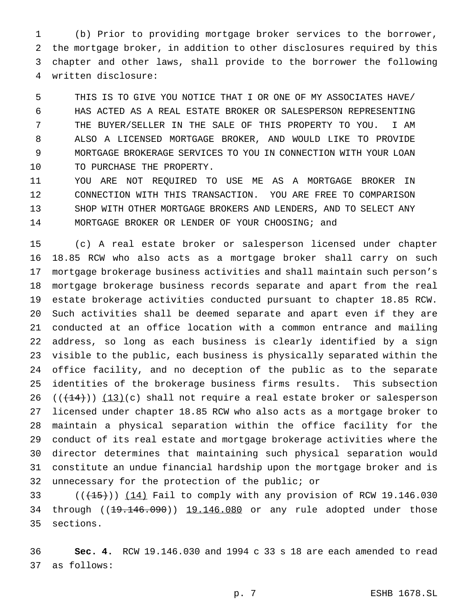(b) Prior to providing mortgage broker services to the borrower, the mortgage broker, in addition to other disclosures required by this chapter and other laws, shall provide to the borrower the following written disclosure:

 THIS IS TO GIVE YOU NOTICE THAT I OR ONE OF MY ASSOCIATES HAVE/ HAS ACTED AS A REAL ESTATE BROKER OR SALESPERSON REPRESENTING THE BUYER/SELLER IN THE SALE OF THIS PROPERTY TO YOU. I AM ALSO A LICENSED MORTGAGE BROKER, AND WOULD LIKE TO PROVIDE MORTGAGE BROKERAGE SERVICES TO YOU IN CONNECTION WITH YOUR LOAN 10 TO PURCHASE THE PROPERTY.

 YOU ARE NOT REQUIRED TO USE ME AS A MORTGAGE BROKER IN CONNECTION WITH THIS TRANSACTION. YOU ARE FREE TO COMPARISON SHOP WITH OTHER MORTGAGE BROKERS AND LENDERS, AND TO SELECT ANY MORTGAGE BROKER OR LENDER OF YOUR CHOOSING; and

 (c) A real estate broker or salesperson licensed under chapter 18.85 RCW who also acts as a mortgage broker shall carry on such mortgage brokerage business activities and shall maintain such person's mortgage brokerage business records separate and apart from the real estate brokerage activities conducted pursuant to chapter 18.85 RCW. Such activities shall be deemed separate and apart even if they are conducted at an office location with a common entrance and mailing address, so long as each business is clearly identified by a sign visible to the public, each business is physically separated within the office facility, and no deception of the public as to the separate identities of the brokerage business firms results. This subsection  $((+14))$  (13)(c) shall not require a real estate broker or salesperson licensed under chapter 18.85 RCW who also acts as a mortgage broker to maintain a physical separation within the office facility for the conduct of its real estate and mortgage brokerage activities where the director determines that maintaining such physical separation would constitute an undue financial hardship upon the mortgage broker and is unnecessary for the protection of the public; or

33  $((+15))$   $(14)$  Fail to comply with any provision of RCW 19.146.030 34 through ((19.146.090)) 19.146.080 or any rule adopted under those sections.

 **Sec. 4.** RCW 19.146.030 and 1994 c 33 s 18 are each amended to read as follows: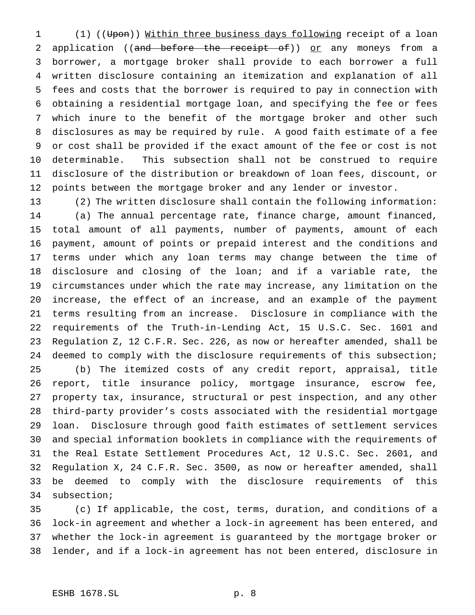1 (1) ((Upon)) Within three business days following receipt of a loan 2 application ((and before the receipt of)) or any moneys from a borrower, a mortgage broker shall provide to each borrower a full written disclosure containing an itemization and explanation of all fees and costs that the borrower is required to pay in connection with obtaining a residential mortgage loan, and specifying the fee or fees which inure to the benefit of the mortgage broker and other such disclosures as may be required by rule. A good faith estimate of a fee or cost shall be provided if the exact amount of the fee or cost is not determinable. This subsection shall not be construed to require disclosure of the distribution or breakdown of loan fees, discount, or points between the mortgage broker and any lender or investor.

 (2) The written disclosure shall contain the following information: (a) The annual percentage rate, finance charge, amount financed, total amount of all payments, number of payments, amount of each payment, amount of points or prepaid interest and the conditions and terms under which any loan terms may change between the time of disclosure and closing of the loan; and if a variable rate, the circumstances under which the rate may increase, any limitation on the increase, the effect of an increase, and an example of the payment terms resulting from an increase. Disclosure in compliance with the requirements of the Truth-in-Lending Act, 15 U.S.C. Sec. 1601 and Regulation Z, 12 C.F.R. Sec. 226, as now or hereafter amended, shall be deemed to comply with the disclosure requirements of this subsection; (b) The itemized costs of any credit report, appraisal, title report, title insurance policy, mortgage insurance, escrow fee, property tax, insurance, structural or pest inspection, and any other third-party provider's costs associated with the residential mortgage loan. Disclosure through good faith estimates of settlement services and special information booklets in compliance with the requirements of the Real Estate Settlement Procedures Act, 12 U.S.C. Sec. 2601, and Regulation X, 24 C.F.R. Sec. 3500, as now or hereafter amended, shall be deemed to comply with the disclosure requirements of this subsection;

 (c) If applicable, the cost, terms, duration, and conditions of a lock-in agreement and whether a lock-in agreement has been entered, and whether the lock-in agreement is guaranteed by the mortgage broker or lender, and if a lock-in agreement has not been entered, disclosure in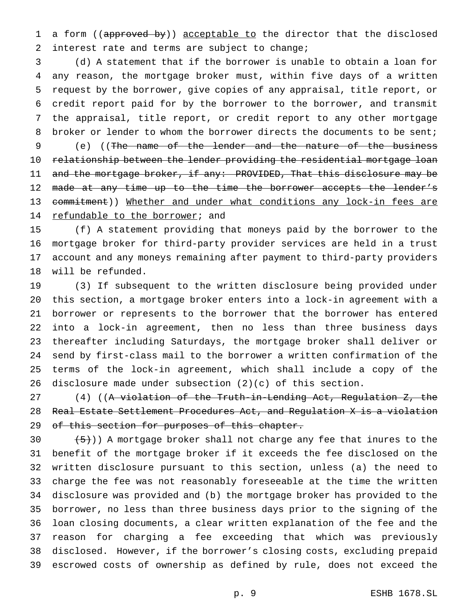1 a form ((approved by)) acceptable to the director that the disclosed 2 interest rate and terms are subject to change;

 (d) A statement that if the borrower is unable to obtain a loan for any reason, the mortgage broker must, within five days of a written request by the borrower, give copies of any appraisal, title report, or credit report paid for by the borrower to the borrower, and transmit the appraisal, title report, or credit report to any other mortgage 8 broker or lender to whom the borrower directs the documents to be sent;

 (e) ((The name of the lender and the nature of the business 10 relationship between the lender providing the residential mortgage loan 11 and the mortgage broker, if any: PROVIDED, That this disclosure may be 12 made at any time up to the time the borrower accepts the lender's 13 commitment)) Whether and under what conditions any lock-in fees are 14 refundable to the borrower; and

 (f) A statement providing that moneys paid by the borrower to the mortgage broker for third-party provider services are held in a trust account and any moneys remaining after payment to third-party providers will be refunded.

 (3) If subsequent to the written disclosure being provided under this section, a mortgage broker enters into a lock-in agreement with a borrower or represents to the borrower that the borrower has entered into a lock-in agreement, then no less than three business days thereafter including Saturdays, the mortgage broker shall deliver or send by first-class mail to the borrower a written confirmation of the terms of the lock-in agreement, which shall include a copy of the disclosure made under subsection (2)(c) of this section.

27 (4) ((A violation of the Truth-in-Lending Act, Regulation Z, the Real Estate Settlement Procedures Act, and Regulation X is a violation 29 of this section for purposes of this chapter.

 $(5)$ )) A mortgage broker shall not charge any fee that inures to the benefit of the mortgage broker if it exceeds the fee disclosed on the written disclosure pursuant to this section, unless (a) the need to charge the fee was not reasonably foreseeable at the time the written disclosure was provided and (b) the mortgage broker has provided to the borrower, no less than three business days prior to the signing of the loan closing documents, a clear written explanation of the fee and the reason for charging a fee exceeding that which was previously disclosed. However, if the borrower's closing costs, excluding prepaid escrowed costs of ownership as defined by rule, does not exceed the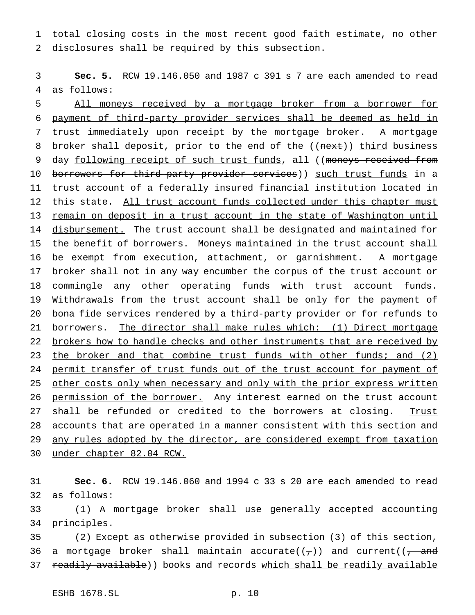total closing costs in the most recent good faith estimate, no other disclosures shall be required by this subsection.

 **Sec. 5.** RCW 19.146.050 and 1987 c 391 s 7 are each amended to read as follows:

 All moneys received by a mortgage broker from a borrower for payment of third-party provider services shall be deemed as held in 7 trust immediately upon receipt by the mortgage broker. A mortgage 8 broker shall deposit, prior to the end of the ((next)) third business 9 day following receipt of such trust funds, all ((moneys received from 10 borrowers for third-party provider services)) such trust funds in a trust account of a federally insured financial institution located in this state. All trust account funds collected under this chapter must remain on deposit in a trust account in the state of Washington until 14 disbursement. The trust account shall be designated and maintained for the benefit of borrowers. Moneys maintained in the trust account shall be exempt from execution, attachment, or garnishment. A mortgage broker shall not in any way encumber the corpus of the trust account or commingle any other operating funds with trust account funds. Withdrawals from the trust account shall be only for the payment of bona fide services rendered by a third-party provider or for refunds to 21 borrowers. The director shall make rules which: (1) Direct mortgage brokers how to handle checks and other instruments that are received by 23 the broker and that combine trust funds with other funds; and (2) 24 permit transfer of trust funds out of the trust account for payment of 25 other costs only when necessary and only with the prior express written 26 permission of the borrower. Any interest earned on the trust account 27 shall be refunded or credited to the borrowers at closing. Trust accounts that are operated in a manner consistent with this section and 29 any rules adopted by the director, are considered exempt from taxation under chapter 82.04 RCW.

 **Sec. 6.** RCW 19.146.060 and 1994 c 33 s 20 are each amended to read as follows:

 (1) A mortgage broker shall use generally accepted accounting principles.

 (2) Except as otherwise provided in subsection (3) of this section, 36 a mortgage broker shall maintain accurate( $(\tau)$ ) and current( $\tau$  and 37 readily available)) books and records which shall be readily available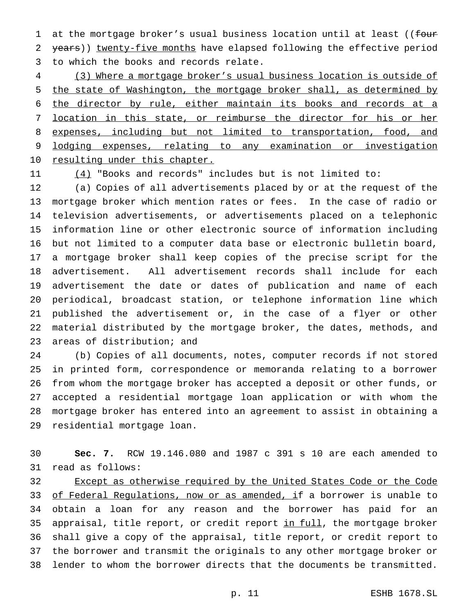1 at the mortgage broker's usual business location until at least ((four 2 years)) twenty-five months have elapsed following the effective period to which the books and records relate.

 (3) Where a mortgage broker's usual business location is outside of 5 the state of Washington, the mortgage broker shall, as determined by the director by rule, either maintain its books and records at a location in this state, or reimburse the director for his or her expenses, including but not limited to transportation, food, and lodging expenses, relating to any examination or investigation 10 resulting under this chapter.

11  $(4)$  "Books and records" includes but is not limited to:

 (a) Copies of all advertisements placed by or at the request of the mortgage broker which mention rates or fees. In the case of radio or television advertisements, or advertisements placed on a telephonic information line or other electronic source of information including but not limited to a computer data base or electronic bulletin board, a mortgage broker shall keep copies of the precise script for the advertisement. All advertisement records shall include for each advertisement the date or dates of publication and name of each periodical, broadcast station, or telephone information line which published the advertisement or, in the case of a flyer or other material distributed by the mortgage broker, the dates, methods, and areas of distribution; and

 (b) Copies of all documents, notes, computer records if not stored in printed form, correspondence or memoranda relating to a borrower from whom the mortgage broker has accepted a deposit or other funds, or accepted a residential mortgage loan application or with whom the mortgage broker has entered into an agreement to assist in obtaining a residential mortgage loan.

 **Sec. 7.** RCW 19.146.080 and 1987 c 391 s 10 are each amended to read as follows:

32 Except as otherwise required by the United States Code or the Code 33 of Federal Regulations, now or as amended, if a borrower is unable to obtain a loan for any reason and the borrower has paid for an 35 appraisal, title report, or credit report in full, the mortgage broker shall give a copy of the appraisal, title report, or credit report to the borrower and transmit the originals to any other mortgage broker or lender to whom the borrower directs that the documents be transmitted.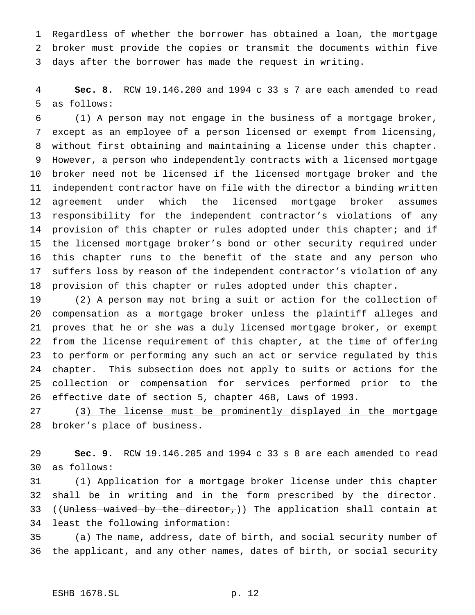1 Regardless of whether the borrower has obtained a loan, the mortgage broker must provide the copies or transmit the documents within five days after the borrower has made the request in writing.

 **Sec. 8.** RCW 19.146.200 and 1994 c 33 s 7 are each amended to read as follows:

 (1) A person may not engage in the business of a mortgage broker, except as an employee of a person licensed or exempt from licensing, without first obtaining and maintaining a license under this chapter. However, a person who independently contracts with a licensed mortgage broker need not be licensed if the licensed mortgage broker and the independent contractor have on file with the director a binding written agreement under which the licensed mortgage broker assumes responsibility for the independent contractor's violations of any 14 provision of this chapter or rules adopted under this chapter; and if the licensed mortgage broker's bond or other security required under this chapter runs to the benefit of the state and any person who suffers loss by reason of the independent contractor's violation of any provision of this chapter or rules adopted under this chapter.

 (2) A person may not bring a suit or action for the collection of compensation as a mortgage broker unless the plaintiff alleges and proves that he or she was a duly licensed mortgage broker, or exempt from the license requirement of this chapter, at the time of offering to perform or performing any such an act or service regulated by this chapter. This subsection does not apply to suits or actions for the collection or compensation for services performed prior to the effective date of section 5, chapter 468, Laws of 1993.

 (3) The license must be prominently displayed in the mortgage 28 broker's place of business.

 **Sec. 9.** RCW 19.146.205 and 1994 c 33 s 8 are each amended to read as follows:

 (1) Application for a mortgage broker license under this chapter shall be in writing and in the form prescribed by the director. 33 ((Unless waived by the director,)) The application shall contain at least the following information:

 (a) The name, address, date of birth, and social security number of the applicant, and any other names, dates of birth, or social security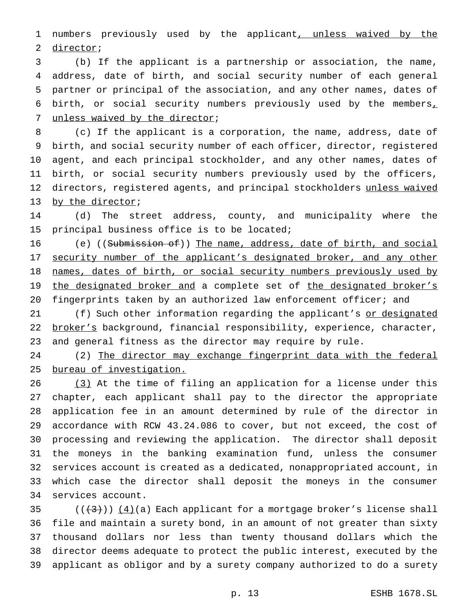1 numbers previously used by the applicant, unless waived by the director;

 (b) If the applicant is a partnership or association, the name, address, date of birth, and social security number of each general partner or principal of the association, and any other names, dates of birth, or social security numbers previously used by the members, unless waived by the director;

 (c) If the applicant is a corporation, the name, address, date of birth, and social security number of each officer, director, registered agent, and each principal stockholder, and any other names, dates of birth, or social security numbers previously used by the officers, 12 directors, registered agents, and principal stockholders unless waived 13 by the director;

 (d) The street address, county, and municipality where the principal business office is to be located;

16 (e) ((Submission of)) The name, address, date of birth, and social 17 security number of the applicant's designated broker, and any other 18 names, dates of birth, or social security numbers previously used by 19 the designated broker and a complete set of the designated broker's 20 fingerprints taken by an authorized law enforcement officer; and

21 (f) Such other information regarding the applicant's or designated 22 broker's background, financial responsibility, experience, character, and general fitness as the director may require by rule.

 (2) The director may exchange fingerprint data with the federal bureau of investigation.

26 (3) At the time of filing an application for a license under this chapter, each applicant shall pay to the director the appropriate application fee in an amount determined by rule of the director in accordance with RCW 43.24.086 to cover, but not exceed, the cost of processing and reviewing the application. The director shall deposit the moneys in the banking examination fund, unless the consumer services account is created as a dedicated, nonappropriated account, in which case the director shall deposit the moneys in the consumer services account.

 $((+3))$   $(4)(a)$  Each applicant for a mortgage broker's license shall file and maintain a surety bond, in an amount of not greater than sixty thousand dollars nor less than twenty thousand dollars which the director deems adequate to protect the public interest, executed by the applicant as obligor and by a surety company authorized to do a surety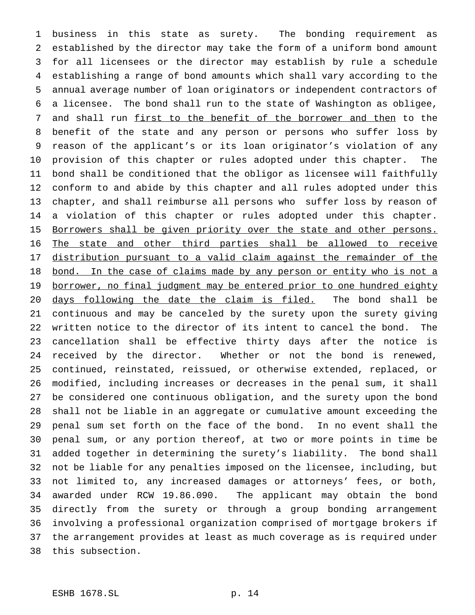business in this state as surety. The bonding requirement as established by the director may take the form of a uniform bond amount for all licensees or the director may establish by rule a schedule establishing a range of bond amounts which shall vary according to the annual average number of loan originators or independent contractors of a licensee. The bond shall run to the state of Washington as obligee, 7 and shall run first to the benefit of the borrower and then to the benefit of the state and any person or persons who suffer loss by reason of the applicant's or its loan originator's violation of any provision of this chapter or rules adopted under this chapter. The bond shall be conditioned that the obligor as licensee will faithfully conform to and abide by this chapter and all rules adopted under this chapter, and shall reimburse all persons who suffer loss by reason of a violation of this chapter or rules adopted under this chapter. 15 Borrowers shall be given priority over the state and other persons. The state and other third parties shall be allowed to receive distribution pursuant to a valid claim against the remainder of the 18 bond. In the case of claims made by any person or entity who is not a 19 borrower, no final judgment may be entered prior to one hundred eighty days following the date the claim is filed. The bond shall be continuous and may be canceled by the surety upon the surety giving written notice to the director of its intent to cancel the bond. The cancellation shall be effective thirty days after the notice is received by the director. Whether or not the bond is renewed, continued, reinstated, reissued, or otherwise extended, replaced, or modified, including increases or decreases in the penal sum, it shall be considered one continuous obligation, and the surety upon the bond shall not be liable in an aggregate or cumulative amount exceeding the penal sum set forth on the face of the bond. In no event shall the penal sum, or any portion thereof, at two or more points in time be added together in determining the surety's liability. The bond shall not be liable for any penalties imposed on the licensee, including, but not limited to, any increased damages or attorneys' fees, or both, awarded under RCW 19.86.090. The applicant may obtain the bond directly from the surety or through a group bonding arrangement involving a professional organization comprised of mortgage brokers if the arrangement provides at least as much coverage as is required under this subsection.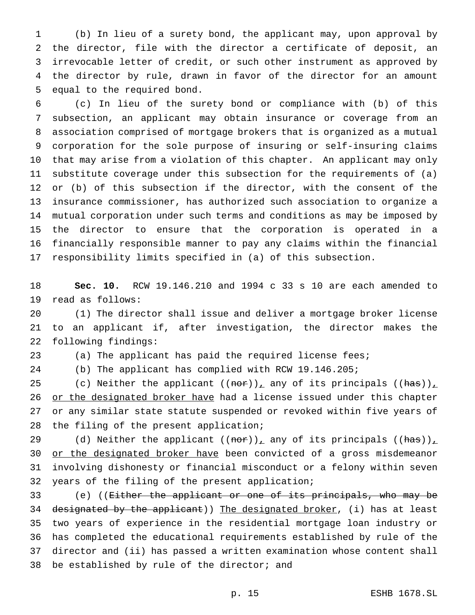(b) In lieu of a surety bond, the applicant may, upon approval by the director, file with the director a certificate of deposit, an irrevocable letter of credit, or such other instrument as approved by the director by rule, drawn in favor of the director for an amount equal to the required bond.

 (c) In lieu of the surety bond or compliance with (b) of this subsection, an applicant may obtain insurance or coverage from an association comprised of mortgage brokers that is organized as a mutual corporation for the sole purpose of insuring or self-insuring claims that may arise from a violation of this chapter. An applicant may only substitute coverage under this subsection for the requirements of (a) or (b) of this subsection if the director, with the consent of the insurance commissioner, has authorized such association to organize a mutual corporation under such terms and conditions as may be imposed by the director to ensure that the corporation is operated in a financially responsible manner to pay any claims within the financial responsibility limits specified in (a) of this subsection.

 **Sec. 10.** RCW 19.146.210 and 1994 c 33 s 10 are each amended to read as follows:

 (1) The director shall issue and deliver a mortgage broker license to an applicant if, after investigation, the director makes the following findings:

(a) The applicant has paid the required license fees;

(b) The applicant has complied with RCW 19.146.205;

25 (c) Neither the applicant  $((\text{nor}))_{\perp}$  any of its principals  $((\text{has}))_{\perp}$ 26 or the designated broker have had a license issued under this chapter or any similar state statute suspended or revoked within five years of the filing of the present application;

29 (d) Neither the applicant  $((\text{nor}))_{\perp}$  any of its principals  $((\text{has}))_{\perp}$ 30 or the designated broker have been convicted of a gross misdemeanor involving dishonesty or financial misconduct or a felony within seven years of the filing of the present application;

 (e) ((Either the applicant or one of its principals, who may be 34 designated by the applicant)) The designated broker, (i) has at least two years of experience in the residential mortgage loan industry or has completed the educational requirements established by rule of the director and (ii) has passed a written examination whose content shall be established by rule of the director; and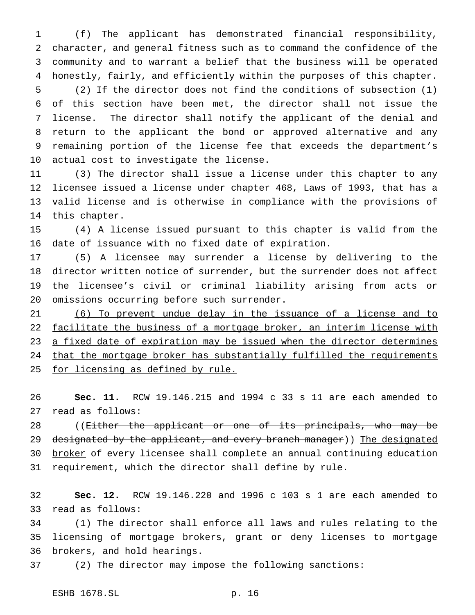(f) The applicant has demonstrated financial responsibility, character, and general fitness such as to command the confidence of the community and to warrant a belief that the business will be operated honestly, fairly, and efficiently within the purposes of this chapter.

 (2) If the director does not find the conditions of subsection (1) of this section have been met, the director shall not issue the license. The director shall notify the applicant of the denial and return to the applicant the bond or approved alternative and any remaining portion of the license fee that exceeds the department's actual cost to investigate the license.

 (3) The director shall issue a license under this chapter to any licensee issued a license under chapter 468, Laws of 1993, that has a valid license and is otherwise in compliance with the provisions of this chapter.

 (4) A license issued pursuant to this chapter is valid from the date of issuance with no fixed date of expiration.

 (5) A licensee may surrender a license by delivering to the director written notice of surrender, but the surrender does not affect the licensee's civil or criminal liability arising from acts or omissions occurring before such surrender.

 (6) To prevent undue delay in the issuance of a license and to 22 facilitate the business of a mortgage broker, an interim license with 23 a fixed date of expiration may be issued when the director determines 24 that the mortgage broker has substantially fulfilled the requirements 25 for licensing as defined by rule.

 **Sec. 11.** RCW 19.146.215 and 1994 c 33 s 11 are each amended to read as follows:

28 ((<del>Either the applicant or one of its principals, who may be</del> 29 designated by the applicant, and every branch manager)) The designated 30 broker of every licensee shall complete an annual continuing education requirement, which the director shall define by rule.

 **Sec. 12.** RCW 19.146.220 and 1996 c 103 s 1 are each amended to read as follows:

 (1) The director shall enforce all laws and rules relating to the licensing of mortgage brokers, grant or deny licenses to mortgage brokers, and hold hearings.

(2) The director may impose the following sanctions: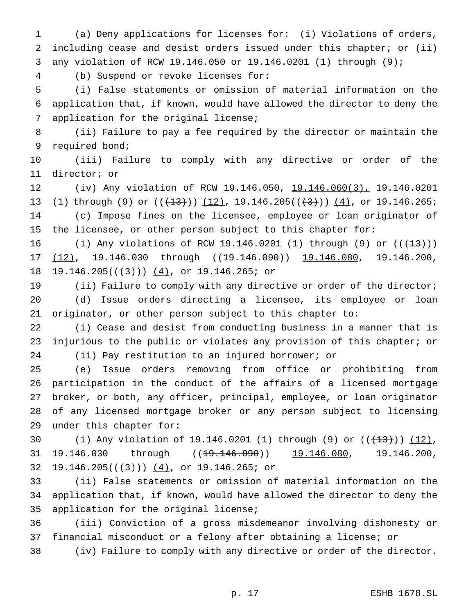(a) Deny applications for licenses for: (i) Violations of orders, including cease and desist orders issued under this chapter; or (ii) any violation of RCW 19.146.050 or 19.146.0201 (1) through (9);

(b) Suspend or revoke licenses for:

 (i) False statements or omission of material information on the application that, if known, would have allowed the director to deny the application for the original license;

 (ii) Failure to pay a fee required by the director or maintain the required bond;

 (iii) Failure to comply with any directive or order of the director; or

 (iv) Any violation of RCW 19.146.050, 19.146.060(3), 19.146.0201 13 (1) through (9) or  $((+13))$   $(12)$ , 19.146.205 $((+3))$   $(4)$ , or 19.146.265; (c) Impose fines on the licensee, employee or loan originator of the licensee, or other person subject to this chapter for:

16 (i) Any violations of RCW 19.146.0201 (1) through (9) or  $((+13))$ 17 (12), 19.146.030 through ((19.146.090)) 19.146.080, 19.146.200, 18 19.146.205( $(\frac{3}{1})$ )  $(4)$ , or 19.146.265; or

 (ii) Failure to comply with any directive or order of the director; (d) Issue orders directing a licensee, its employee or loan originator, or other person subject to this chapter to:

 (i) Cease and desist from conducting business in a manner that is injurious to the public or violates any provision of this chapter; or (ii) Pay restitution to an injured borrower; or

 (e) Issue orders removing from office or prohibiting from participation in the conduct of the affairs of a licensed mortgage broker, or both, any officer, principal, employee, or loan originator of any licensed mortgage broker or any person subject to licensing under this chapter for:

30 (i) Any violation of 19.146.0201 (1) through (9) or  $((+13))$   $(12)$ , 31 19.146.030 through ((<del>19.146.090</del>)) 19.146.080, 19.146.200, 32 19.146.205( $(\frac{4}{3})$ )  $(4)$ , or 19.146.265; or

 (ii) False statements or omission of material information on the application that, if known, would have allowed the director to deny the application for the original license;

 (iii) Conviction of a gross misdemeanor involving dishonesty or financial misconduct or a felony after obtaining a license; or

(iv) Failure to comply with any directive or order of the director.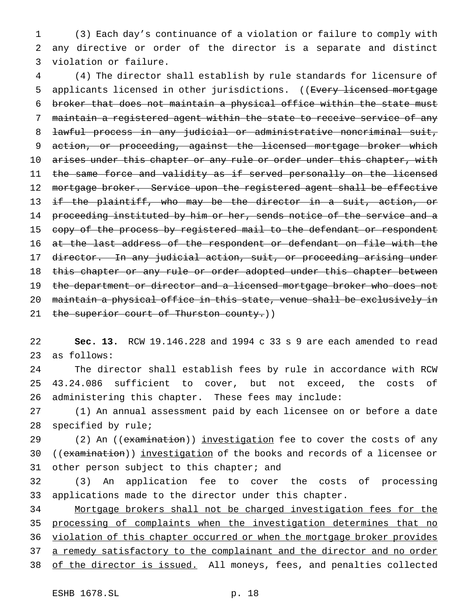1 (3) Each day's continuance of a violation or failure to comply with 2 any directive or order of the director is a separate and distinct 3 violation or failure.

4 (4) The director shall establish by rule standards for licensure of 5 applicants licensed in other jurisdictions. ((Every licensed mortgage 6 broker that does not maintain a physical office within the state must 7 maintain a registered agent within the state to receive service of any 8 lawful process in any judicial or administrative noncriminal suit, 9 action, or proceeding, against the licensed mortgage broker which 10 arises under this chapter or any rule or order under this chapter, with 11 the same force and validity as if served personally on the licensed 12 mortgage broker. Service upon the registered agent shall be effective 13 if the plaintiff, who may be the director in a suit, action, or 14 proceeding instituted by him or her, sends notice of the service and a 15 copy of the process by registered mail to the defendant or respondent 16 at the last address of the respondent or defendant on file with the 17 director. In any judicial action, suit, or proceeding arising under 18 this chapter or any rule or order adopted under this chapter between 19 the department or director and a licensed mortgage broker who does not 20 maintain a physical office in this state, venue shall be exclusively in 21 the superior court of Thurston county.))

22 **Sec. 13.** RCW 19.146.228 and 1994 c 33 s 9 are each amended to read 23 as follows:

24 The director shall establish fees by rule in accordance with RCW 25 43.24.086 sufficient to cover, but not exceed, the costs of 26 administering this chapter. These fees may include:

27 (1) An annual assessment paid by each licensee on or before a date 28 specified by rule;

29 (2) An ((examination)) investigation fee to cover the costs of any 30 ((examination)) investigation of the books and records of a licensee or 31 other person subject to this chapter; and

32 (3) An application fee to cover the costs of processing 33 applications made to the director under this chapter.

34 Mortgage brokers shall not be charged investigation fees for the 35 processing of complaints when the investigation determines that no 36 violation of this chapter occurred or when the mortgage broker provides 37 a remedy satisfactory to the complainant and the director and no order 38 of the director is issued. All moneys, fees, and penalties collected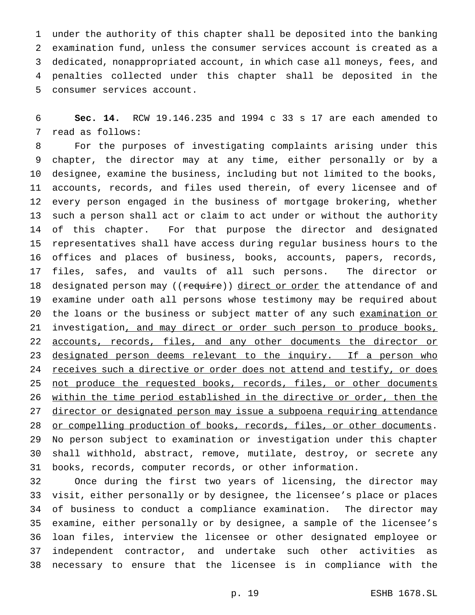under the authority of this chapter shall be deposited into the banking examination fund, unless the consumer services account is created as a dedicated, nonappropriated account, in which case all moneys, fees, and penalties collected under this chapter shall be deposited in the consumer services account.

 **Sec. 14.** RCW 19.146.235 and 1994 c 33 s 17 are each amended to read as follows:

 For the purposes of investigating complaints arising under this chapter, the director may at any time, either personally or by a designee, examine the business, including but not limited to the books, accounts, records, and files used therein, of every licensee and of every person engaged in the business of mortgage brokering, whether such a person shall act or claim to act under or without the authority of this chapter. For that purpose the director and designated representatives shall have access during regular business hours to the offices and places of business, books, accounts, papers, records, files, safes, and vaults of all such persons. The director or 18 designated person may ((require)) direct or order the attendance of and examine under oath all persons whose testimony may be required about 20 the loans or the business or subject matter of any such examination or 21 investigation, and may direct or order such person to produce books, 22 accounts, records, files, and any other documents the director or 23 designated person deems relevant to the inquiry. If a person who 24 receives such a directive or order does not attend and testify, or does 25 not produce the requested books, records, files, or other documents within the time period established in the directive or order, then the 27 director or designated person may issue a subpoena requiring attendance 28 or compelling production of books, records, files, or other documents. No person subject to examination or investigation under this chapter shall withhold, abstract, remove, mutilate, destroy, or secrete any books, records, computer records, or other information.

 Once during the first two years of licensing, the director may visit, either personally or by designee, the licensee's place or places of business to conduct a compliance examination. The director may examine, either personally or by designee, a sample of the licensee's loan files, interview the licensee or other designated employee or independent contractor, and undertake such other activities as necessary to ensure that the licensee is in compliance with the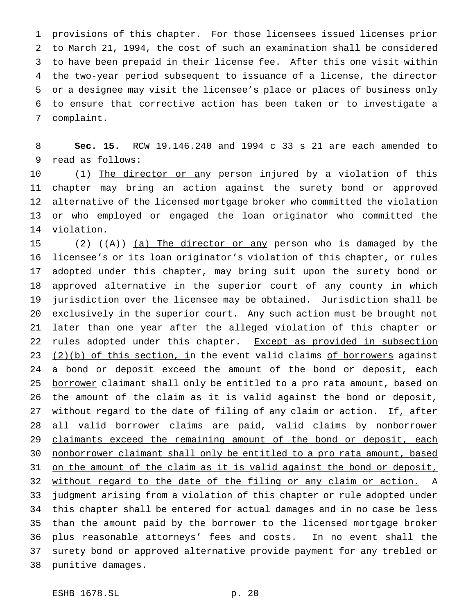provisions of this chapter. For those licensees issued licenses prior to March 21, 1994, the cost of such an examination shall be considered to have been prepaid in their license fee. After this one visit within the two-year period subsequent to issuance of a license, the director or a designee may visit the licensee's place or places of business only to ensure that corrective action has been taken or to investigate a complaint.

 **Sec. 15.** RCW 19.146.240 and 1994 c 33 s 21 are each amended to read as follows:

10 (1) The director or any person injured by a violation of this chapter may bring an action against the surety bond or approved alternative of the licensed mortgage broker who committed the violation or who employed or engaged the loan originator who committed the violation.

 (2) ((A)) (a) The director or any person who is damaged by the licensee's or its loan originator's violation of this chapter, or rules adopted under this chapter, may bring suit upon the surety bond or approved alternative in the superior court of any county in which jurisdiction over the licensee may be obtained. Jurisdiction shall be exclusively in the superior court. Any such action must be brought not later than one year after the alleged violation of this chapter or 22 rules adopted under this chapter. Except as provided in subsection  $(2)(b)$  of this section, in the event valid claims of borrowers against a bond or deposit exceed the amount of the bond or deposit, each 25 borrower claimant shall only be entitled to a pro rata amount, based on the amount of the claim as it is valid against the bond or deposit, 27 without regard to the date of filing of any claim or action. If, after all valid borrower claims are paid, valid claims by nonborrower 29 claimants exceed the remaining amount of the bond or deposit, each nonborrower claimant shall only be entitled to a pro rata amount, based 31 on the amount of the claim as it is valid against the bond or deposit, 32 without regard to the date of the filing or any claim or action. A judgment arising from a violation of this chapter or rule adopted under this chapter shall be entered for actual damages and in no case be less than the amount paid by the borrower to the licensed mortgage broker plus reasonable attorneys' fees and costs. In no event shall the surety bond or approved alternative provide payment for any trebled or punitive damages.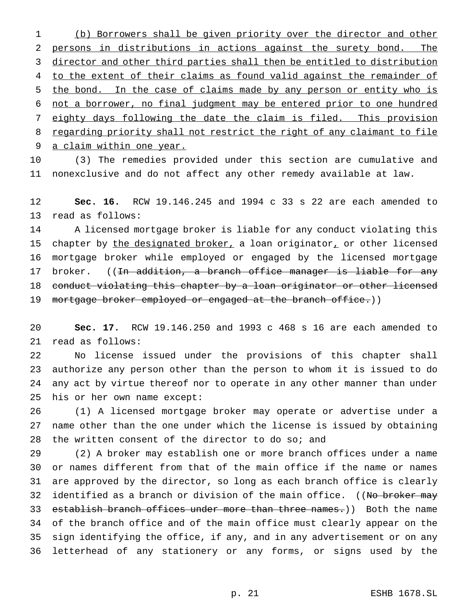(b) Borrowers shall be given priority over the director and other persons in distributions in actions against the surety bond. The director and other third parties shall then be entitled to distribution to the extent of their claims as found valid against the remainder of the bond. In the case of claims made by any person or entity who is not a borrower, no final judgment may be entered prior to one hundred eighty days following the date the claim is filed. This provision 8 regarding priority shall not restrict the right of any claimant to file a claim within one year.

 (3) The remedies provided under this section are cumulative and nonexclusive and do not affect any other remedy available at law.

 **Sec. 16.** RCW 19.146.245 and 1994 c 33 s 22 are each amended to read as follows:

 A licensed mortgage broker is liable for any conduct violating this 15 chapter by the designated broker, a loan originator, or other licensed mortgage broker while employed or engaged by the licensed mortgage 17 broker. ((<del>In addition, a branch office manager is liable for any</del> conduct violating this chapter by a loan originator or other licensed 19 mortgage broker employed or engaged at the branch office.))

 **Sec. 17.** RCW 19.146.250 and 1993 c 468 s 16 are each amended to read as follows:

 No license issued under the provisions of this chapter shall authorize any person other than the person to whom it is issued to do any act by virtue thereof nor to operate in any other manner than under his or her own name except:

 (1) A licensed mortgage broker may operate or advertise under a name other than the one under which the license is issued by obtaining the written consent of the director to do so; and

 (2) A broker may establish one or more branch offices under a name or names different from that of the main office if the name or names are approved by the director, so long as each branch office is clearly 32 identified as a branch or division of the main office. ((No broker may 33 establish branch offices under more than three names.)) Both the name of the branch office and of the main office must clearly appear on the sign identifying the office, if any, and in any advertisement or on any letterhead of any stationery or any forms, or signs used by the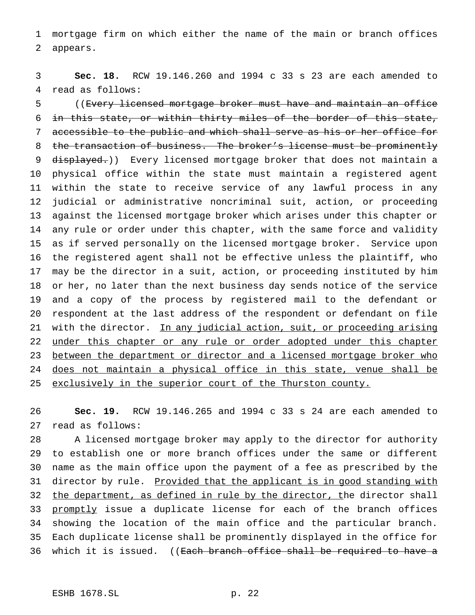mortgage firm on which either the name of the main or branch offices appears.

 **Sec. 18.** RCW 19.146.260 and 1994 c 33 s 23 are each amended to read as follows:

 ((Every licensed mortgage broker must have and maintain an office 6 in this state, or within thirty miles of the border of this state, accessible to the public and which shall serve as his or her office for 8 the transaction of business. The broker's license must be prominently 9 displayed.)) Every licensed mortgage broker that does not maintain a physical office within the state must maintain a registered agent within the state to receive service of any lawful process in any judicial or administrative noncriminal suit, action, or proceeding against the licensed mortgage broker which arises under this chapter or any rule or order under this chapter, with the same force and validity as if served personally on the licensed mortgage broker. Service upon the registered agent shall not be effective unless the plaintiff, who may be the director in a suit, action, or proceeding instituted by him or her, no later than the next business day sends notice of the service and a copy of the process by registered mail to the defendant or respondent at the last address of the respondent or defendant on file 21 with the director. In any judicial action, suit, or proceeding arising 22 under this chapter or any rule or order adopted under this chapter 23 between the department or director and a licensed mortgage broker who does not maintain a physical office in this state, venue shall be 25 exclusively in the superior court of the Thurston county.

 **Sec. 19.** RCW 19.146.265 and 1994 c 33 s 24 are each amended to read as follows:

 A licensed mortgage broker may apply to the director for authority to establish one or more branch offices under the same or different name as the main office upon the payment of a fee as prescribed by the 31 director by rule. Provided that the applicant is in good standing with 32 the department, as defined in rule by the director, the director shall 33 promptly issue a duplicate license for each of the branch offices showing the location of the main office and the particular branch. Each duplicate license shall be prominently displayed in the office for 36 which it is issued. ((<del>Each branch office shall be required to have a</del>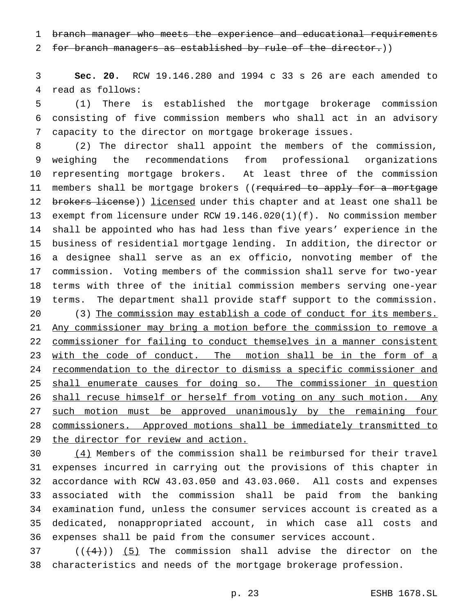branch manager who meets the experience and educational requirements

2 for branch managers as established by rule of the director.)

 **Sec. 20.** RCW 19.146.280 and 1994 c 33 s 26 are each amended to read as follows:

 (1) There is established the mortgage brokerage commission consisting of five commission members who shall act in an advisory capacity to the director on mortgage brokerage issues.

 (2) The director shall appoint the members of the commission, weighing the recommendations from professional organizations representing mortgage brokers. At least three of the commission 11 members shall be mortgage brokers ((required to apply for a mortgage 12 brokers license)) licensed under this chapter and at least one shall be exempt from licensure under RCW 19.146.020(1)(f). No commission member shall be appointed who has had less than five years' experience in the business of residential mortgage lending. In addition, the director or a designee shall serve as an ex officio, nonvoting member of the commission. Voting members of the commission shall serve for two-year terms with three of the initial commission members serving one-year terms. The department shall provide staff support to the commission. 20 (3) The commission may establish a code of conduct for its members. Any commissioner may bring a motion before the commission to remove a commissioner for failing to conduct themselves in a manner consistent 23 with the code of conduct. The motion shall be in the form of a recommendation to the director to dismiss a specific commissioner and 25 shall enumerate causes for doing so. The commissioner in question 26 shall recuse himself or herself from voting on any such motion. Any 27 such motion must be approved unanimously by the remaining four commissioners. Approved motions shall be immediately transmitted to the director for review and action.

 (4) Members of the commission shall be reimbursed for their travel expenses incurred in carrying out the provisions of this chapter in accordance with RCW 43.03.050 and 43.03.060. All costs and expenses associated with the commission shall be paid from the banking examination fund, unless the consumer services account is created as a dedicated, nonappropriated account, in which case all costs and expenses shall be paid from the consumer services account.

 $((4+))$  (5) The commission shall advise the director on the characteristics and needs of the mortgage brokerage profession.